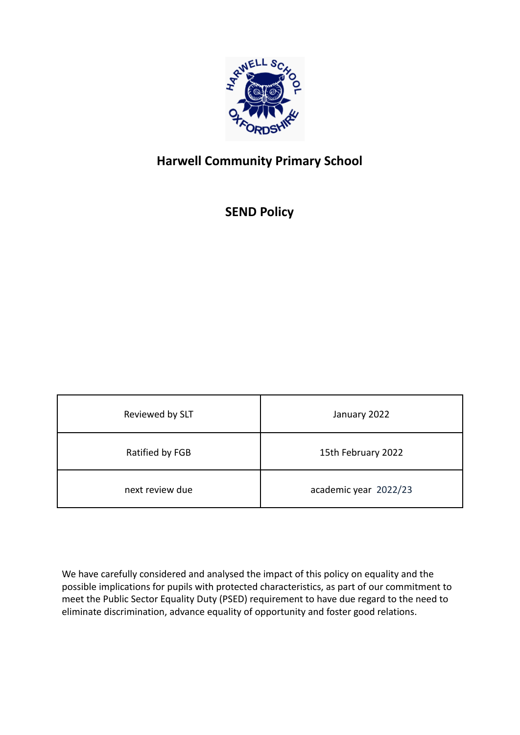

# **Harwell Community Primary School**

**SEND Policy**

| Reviewed by SLT | January 2022          |
|-----------------|-----------------------|
| Ratified by FGB | 15th February 2022    |
| next review due | academic year 2022/23 |

We have carefully considered and analysed the impact of this policy on equality and the possible implications for pupils with protected characteristics, as part of our commitment to meet the Public Sector Equality Duty (PSED) requirement to have due regard to the need to eliminate discrimination, advance equality of opportunity and foster good relations.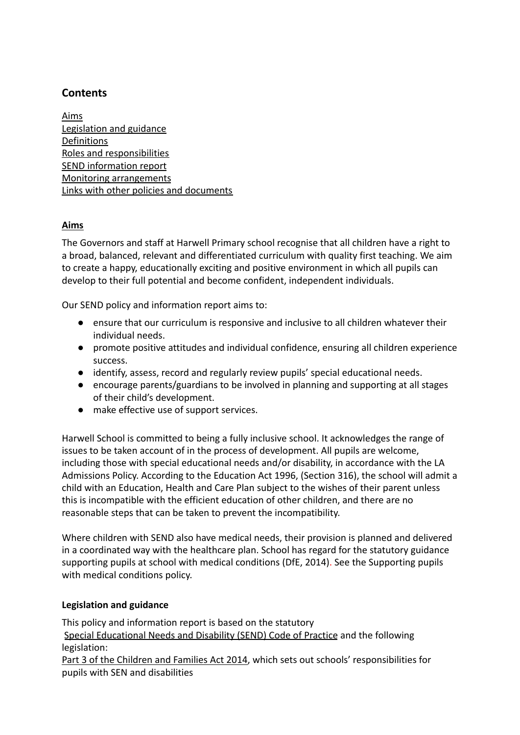# **Contents**

Aims Legislation and guidance Definitions Roles and responsibilities SEND information report Monitoring arrangements Links with other policies and documents

# **Aims**

The Governors and staff at Harwell Primary school recognise that all children have a right to a broad, balanced, relevant and differentiated curriculum with quality first teaching. We aim to create a happy, educationally exciting and positive environment in which all pupils can develop to their full potential and become confident, independent individuals.

Our SEND policy and information report aims to:

- ensure that our curriculum is responsive and inclusive to all children whatever their individual needs.
- promote positive attitudes and individual confidence, ensuring all children experience success.
- identify, assess, record and regularly review pupils' special educational needs.
- encourage parents/guardians to be involved in planning and supporting at all stages of their child's development.
- make effective use of support services.

Harwell School is committed to being a fully inclusive school. It acknowledges the range of issues to be taken account of in the process of development. All pupils are welcome, including those with special educational needs and/or disability, in accordance with the LA Admissions Policy. According to the Education Act 1996, (Section 316), the school will admit a child with an Education, Health and Care Plan subject to the wishes of their parent unless this is incompatible with the efficient education of other children, and there are no reasonable steps that can be taken to prevent the incompatibility.

Where children with SEND also have medical needs, their provision is planned and delivered in a coordinated way with the healthcare plan. School has regard for the statutory guidance supporting pupils at school with medical conditions (DfE, 2014). See the Supporting pupils with medical conditions policy.

# **Legislation and guidance**

This policy and information report is based on the statutory [Special Educational Needs and Disability \(SEND\) Code](https://www.gov.uk/government/uploads/system/uploads/attachment_data/file/398815/SEND_Code_of_Practice_January_2015.pdf) of Practice and the following legislation: [Part 3 of the Children and Families Act 2014,](http://www.legislation.gov.uk/ukpga/2014/6/part/3) which sets out schools' responsibilities for pupils with SEN and disabilities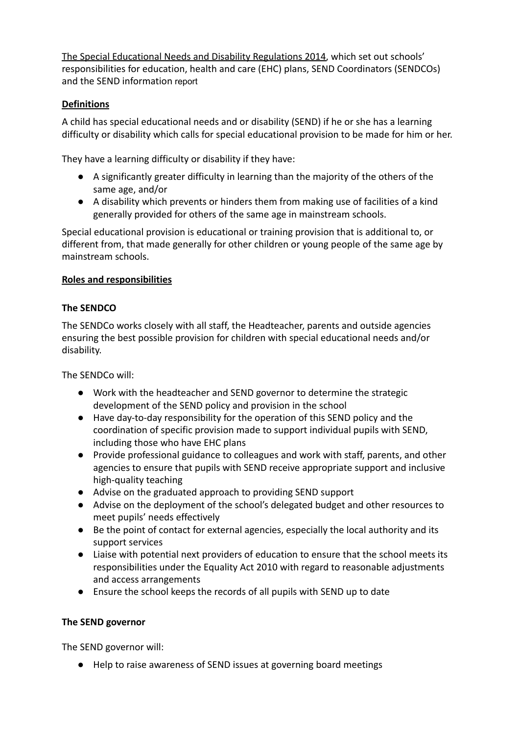[The Special Educational Needs and Disability Regulations 2014,](http://www.legislation.gov.uk/uksi/2014/1530/contents/made) which set out schools' responsibilities for education, health and care (EHC) plans, SEND Coordinators (SENDCOs) and the SEND information report

# **Definitions**

A child has special educational needs and or disability (SEND) if he or she has a learning difficulty or disability which calls for special educational provision to be made for him or her.

They have a learning difficulty or disability if they have:

- A significantly greater difficulty in learning than the majority of the others of the same age, and/or
- A disability which prevents or hinders them from making use of facilities of a kind generally provided for others of the same age in mainstream schools.

Special educational provision is educational or training provision that is additional to, or different from, that made generally for other children or young people of the same age by mainstream schools.

# **Roles and responsibilities**

# **The SENDCO**

The SENDCo works closely with all staff, the Headteacher, parents and outside agencies ensuring the best possible provision for children with special educational needs and/or disability.

The SENDCo will:

- Work with the headteacher and SEND governor to determine the strategic development of the SEND policy and provision in the school
- Have day-to-day responsibility for the operation of this SEND policy and the coordination of specific provision made to support individual pupils with SEND, including those who have EHC plans
- Provide professional guidance to colleagues and work with staff, parents, and other agencies to ensure that pupils with SEND receive appropriate support and inclusive high-quality teaching
- Advise on the graduated approach to providing SEND support
- Advise on the deployment of the school's delegated budget and other resources to meet pupils' needs effectively
- Be the point of contact for external agencies, especially the local authority and its support services
- Liaise with potential next providers of education to ensure that the school meets its responsibilities under the Equality Act 2010 with regard to reasonable adjustments and access arrangements
- Ensure the school keeps the records of all pupils with SEND up to date

# **The SEND governor**

The SEND governor will:

● Help to raise awareness of SEND issues at governing board meetings